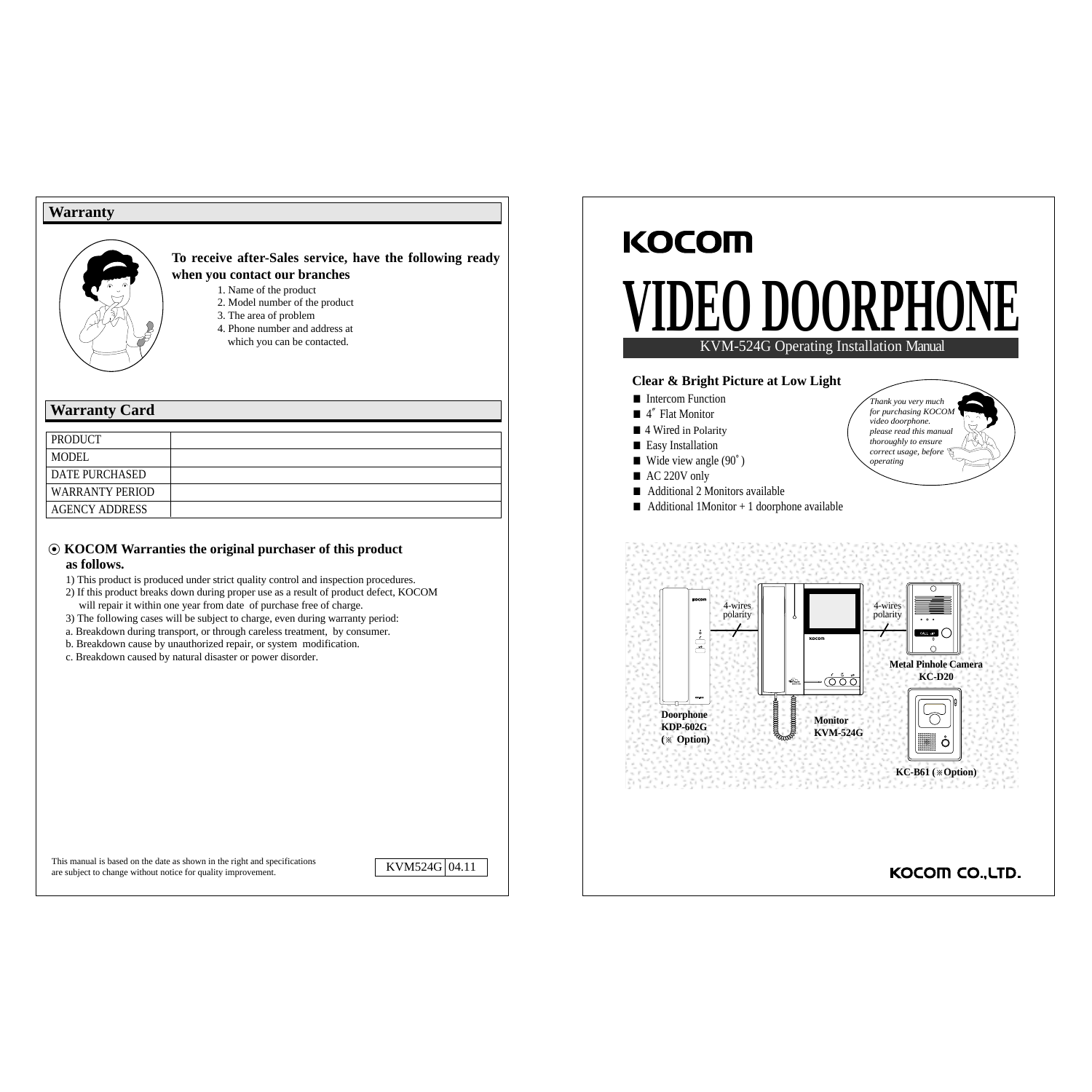#### **Warranty**



**To receive after-Sales service, have the following ready when you contact our branches**

- 1. Name of the product
- 2. Model number of the product
- 3. The area of problem
- 4. Phone number and address at which you can be contacted.

### **Warranty Card**

| PRODUCT                |  |
|------------------------|--|
| <b>MODEL</b>           |  |
| <b>DATE PURCHASED</b>  |  |
| <b>WARRANTY PERIOD</b> |  |
| <b>AGENCY ADDRESS</b>  |  |

#### ◉ **KOCOM Warranties the original purchaser of this product as follows.**

- 1) This product is produced under strict quality control and inspection procedures.
- 2) If this product breaks down during proper use as a result of product defect, KOCOM will repair it within one year from date of purchase free of charge.
- 3) The following cases will be subject to charge, even during warranty period:
- a. Breakdown during transport, or through careless treatment, by consumer.
- b. Breakdown cause by unauthorized repair, or system modification.
- c. Breakdown caused by natural disaster or power disorder.

# **ODOORPHON**



*Thank you very much for purchasing KOCOM video doorphone. please read this manual thoroughly to ensure correct usage, before operating* 

#### **Clear & Bright Picture at Low Light**

■ Intercom Function

**KOCOM** 

- 4″ Flat Monitor
- 4 Wired in Polarity
- Easy Installation
- Wide view angle  $(90^\circ)$
- AC 220V only
- Additional 2 Monitors available
- $\blacksquare$  Additional 1Monitor + 1 doorphone available



This manual is based on the date as shown in the right and specifications are subject to change without notice for quality improvement.

KVM524G 04.11

KOCOM CO., LTD.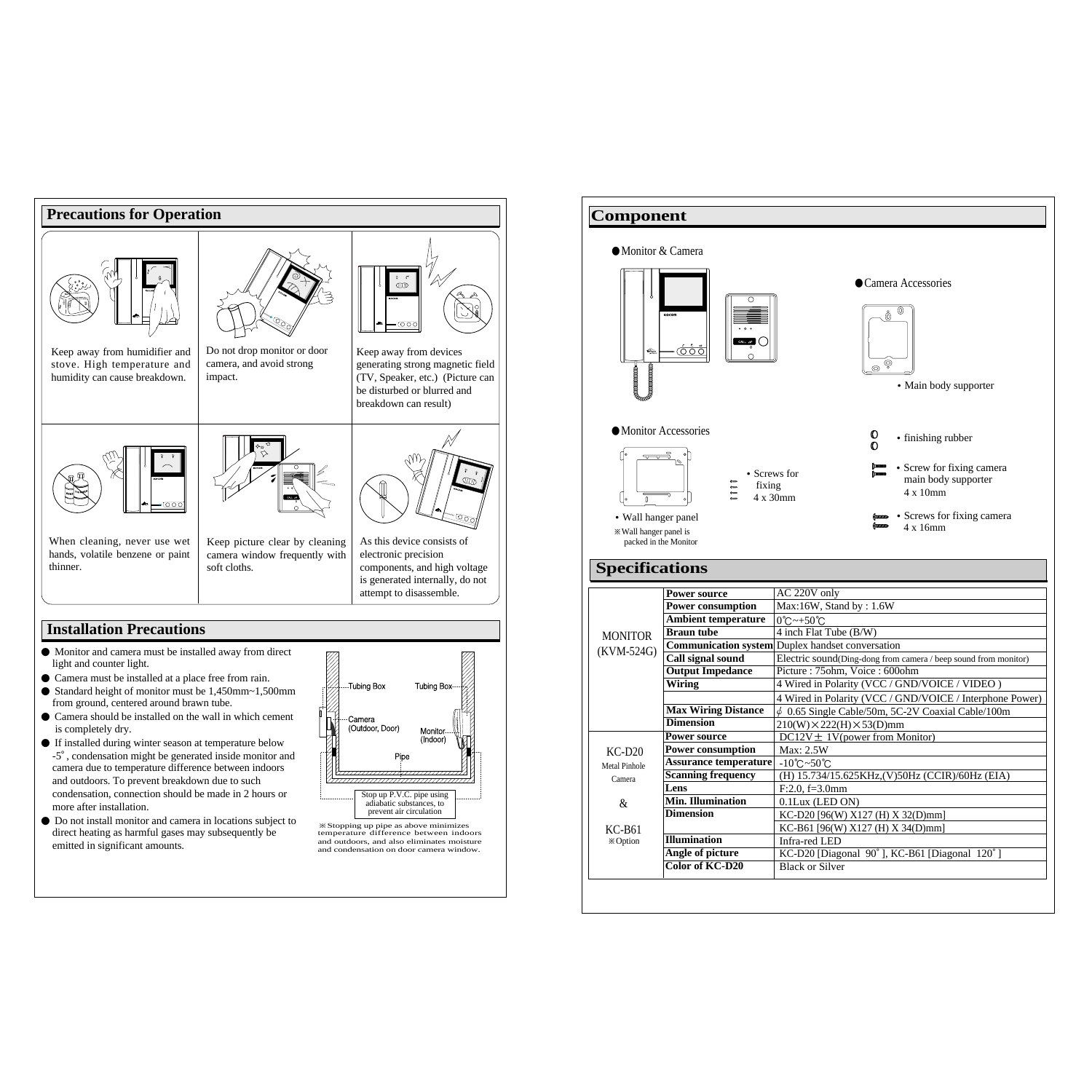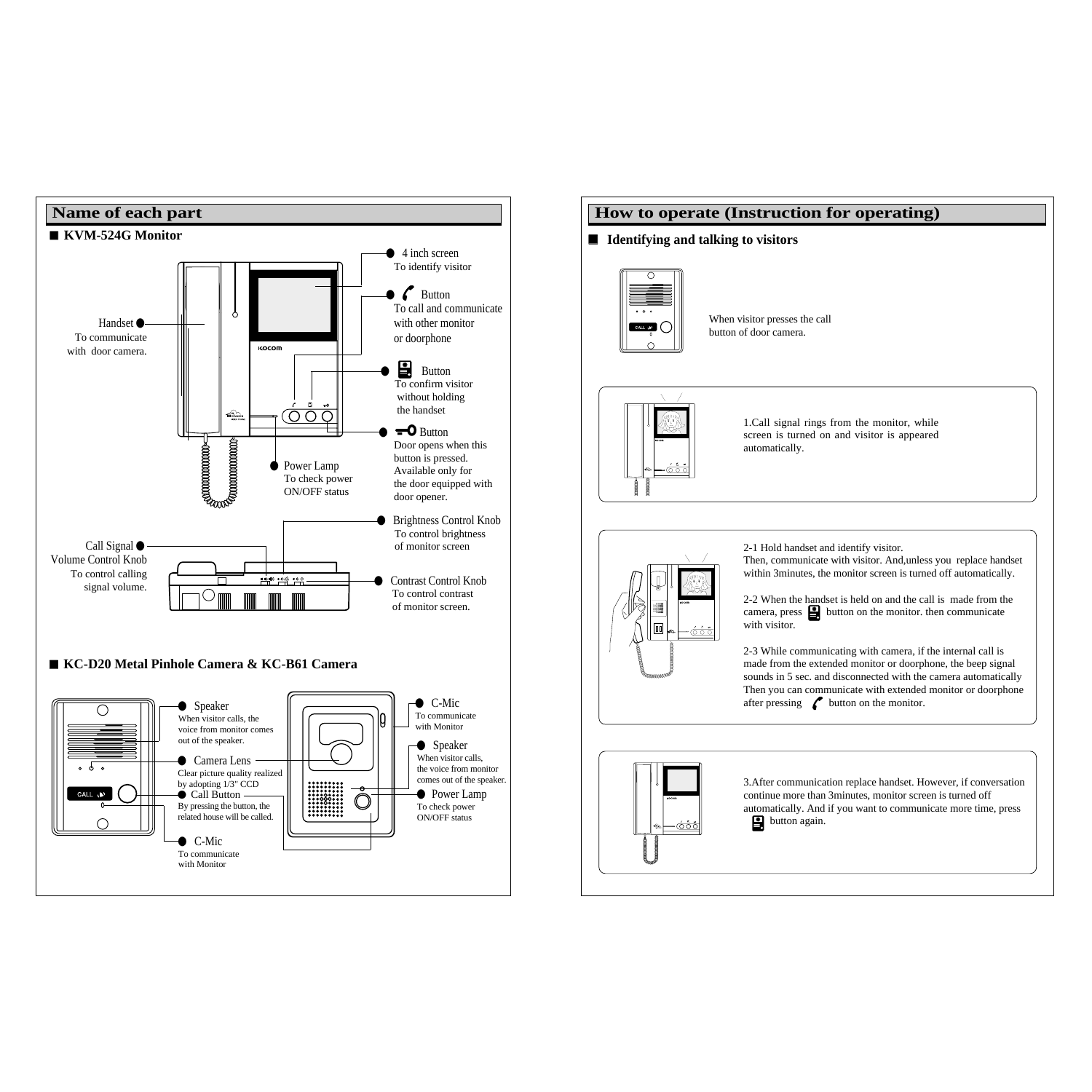

## **How to operate (Instruction for operating)** ■ **Identifying and talking to visitors** When visitor presses the call CALL 12 button of door camera. 1.Call signal rings from the monitor, while screen is turned on and visitor is appeared

automatically.



2-1 Hold handset and identify visitor.

Then, communicate with visitor. And,unless you replace handset within 3minutes, the monitor screen is turned off automatically.

2-2 When the handset is held on and the call is made from the camera, press  $\Box$  button on the monitor. then communicate with visitor.

2-3 While communicating with camera, if the internal call is made from the extended monitor or doorphone, the beep signal sounds in 5 sec. and disconnected with the camera automatically Then you can communicate with extended monitor or doorphone after pressing  $\infty$  button on the monitor.



3.After communication replace handset. However, if conversation continue more than 3minutes, monitor screen is turned off automatically. And if you want to communicate more time, press button again.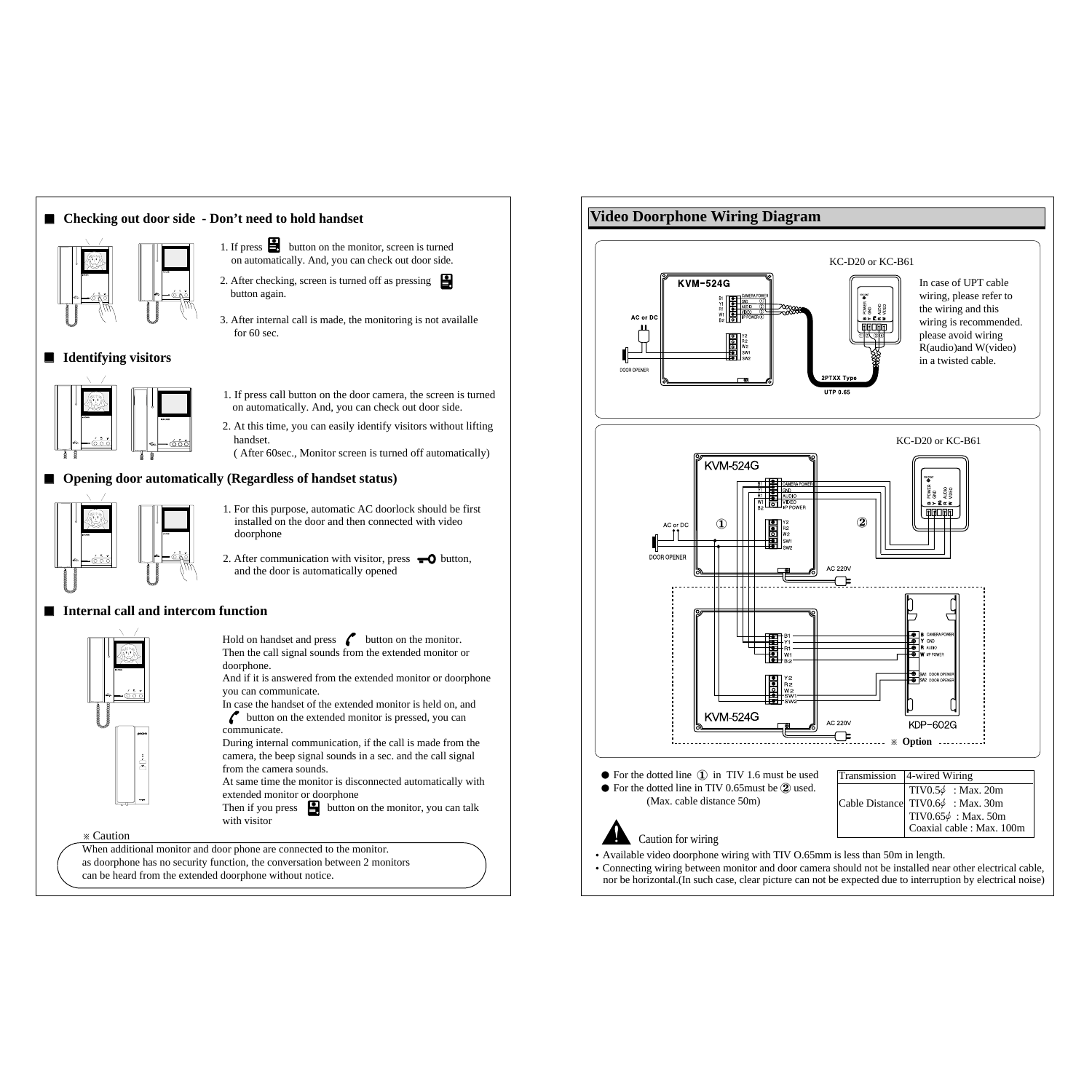### ■ Checking out door side - Don't need to hold handset



- 1. If press **button** on the monitor, screen is turned on automatically. And, you can check out door side.
- 2. After checking, screen is turned off as pressing button again.
- 3. After internal call is made, the monitoring is not availalle for 60 sec.

#### ■ **Identifying visitors**



- 1. If press call button on the door camera, the screen is turned on automatically. And, you can check out door side.
- 2. At this time, you can easily identify visitors without lifting handset.
- ( After 60sec., Monitor screen is turned off automatically)

#### ■ **Opening door automatically (Regardless of handset status)**



- 1. For this purpose, automatic AC doorlock should be first installed on the door and then connected with video doorphone
- 2. After communication with visitor, press  $\bullet$  button, and the door is automatically opened

#### **■** Internal call and intercom function



Hold on handset and press  $\sim$  button on the monitor. Then the call signal sounds from the extended monitor or doorphone.

And if it is answered from the extended monitor or doorphone you can communicate.

In case the handset of the extended monitor is held on, and  $\sim$  button on the extended monitor is pressed, you can communicate.

During internal communication, if the call is made from the camera, the beep signal sounds in a sec. and the call signal from the camera sounds.

At same time the monitor is disconnected automatically with extended monitor or doorphone

Then if you press  $\Box$  button on the monitor, you can talk with visitor

※ Caution

When additional monitor and door phone are connected to the monitor. as doorphone has no security function, the conversation between 2 monitors can be heard from the extended doorphone without notice.



�Connecting wiring between monitor and door camera should not be installed near other electrical cable, nor be horizontal.(In such case, clear picture can not be expected due to interruption by electrical noise)